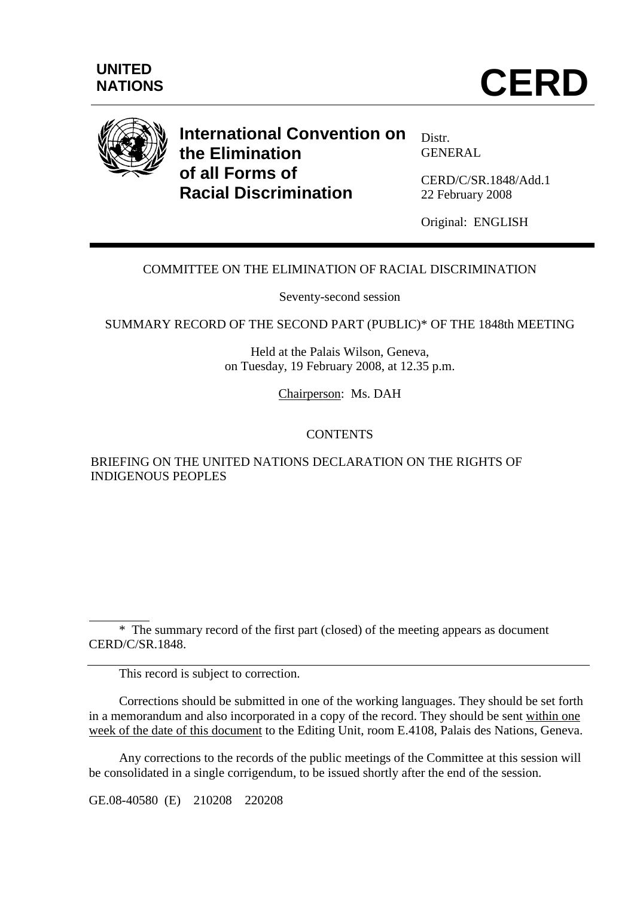



# **International Convention on the Elimination of all Forms of Racial Discrimination**

Distr. GENERAL

CERD/C/SR.1848/Add.1 22 February 2008

Original: ENGLISH

## COMMITTEE ON THE ELIMINATION OF RACIAL DISCRIMINATION

Seventy-second session

SUMMARY RECORD OF THE SECOND PART (PUBLIC)\* OF THE 1848th MEETING

Held at the Palais Wilson, Geneva, on Tuesday, 19 February 2008, at 12.35 p.m.

Chairperson: Ms. DAH

## **CONTENTS**

## BRIEFING ON THE UNITED NATIONS DECLARATION ON THE RIGHTS OF INDIGENOUS PEOPLES

 $\overline{a}$  \* The summary record of the first part (closed) of the meeting appears as document CERD/C/SR.1848.

This record is subject to correction.

 Corrections should be submitted in one of the working languages. They should be set forth in a memorandum and also incorporated in a copy of the record. They should be sent within one week of the date of this document to the Editing Unit, room E.4108, Palais des Nations, Geneva.

 Any corrections to the records of the public meetings of the Committee at this session will be consolidated in a single corrigendum, to be issued shortly after the end of the session.

GE.08-40580 (E) 210208 220208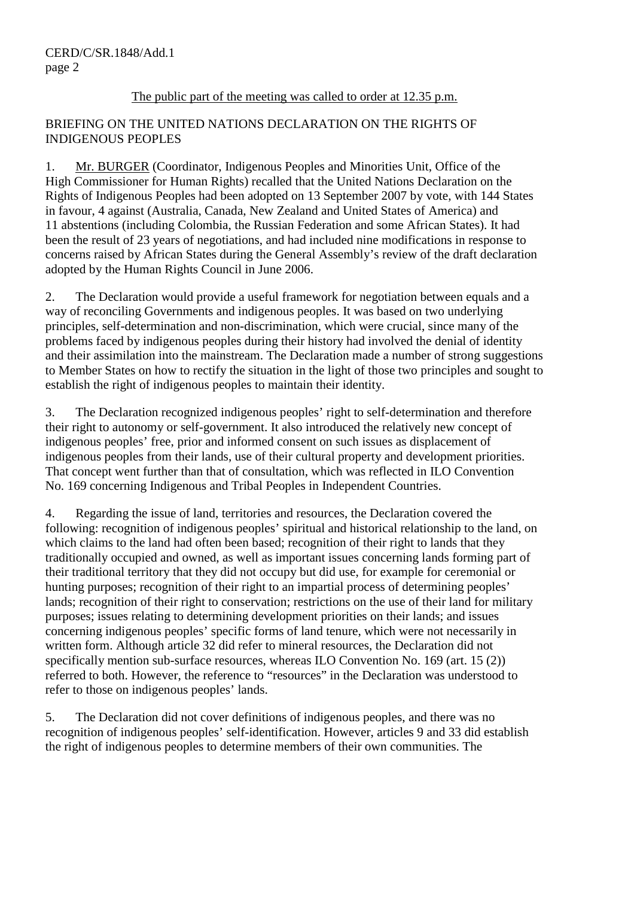### The public part of the meeting was called to order at 12.35 p.m.

### BRIEFING ON THE UNITED NATIONS DECLARATION ON THE RIGHTS OF INDIGENOUS PEOPLES

1. Mr. BURGER (Coordinator, Indigenous Peoples and Minorities Unit, Office of the High Commissioner for Human Rights) recalled that the United Nations Declaration on the Rights of Indigenous Peoples had been adopted on 13 September 2007 by vote, with 144 States in favour, 4 against (Australia, Canada, New Zealand and United States of America) and 11 abstentions (including Colombia, the Russian Federation and some African States). It had been the result of 23 years of negotiations, and had included nine modifications in response to concerns raised by African States during the General Assembly's review of the draft declaration adopted by the Human Rights Council in June 2006.

2. The Declaration would provide a useful framework for negotiation between equals and a way of reconciling Governments and indigenous peoples. It was based on two underlying principles, self-determination and non-discrimination, which were crucial, since many of the problems faced by indigenous peoples during their history had involved the denial of identity and their assimilation into the mainstream. The Declaration made a number of strong suggestions to Member States on how to rectify the situation in the light of those two principles and sought to establish the right of indigenous peoples to maintain their identity.

3. The Declaration recognized indigenous peoples' right to self-determination and therefore their right to autonomy or self-government. It also introduced the relatively new concept of indigenous peoples' free, prior and informed consent on such issues as displacement of indigenous peoples from their lands, use of their cultural property and development priorities. That concept went further than that of consultation, which was reflected in ILO Convention No. 169 concerning Indigenous and Tribal Peoples in Independent Countries.

4. Regarding the issue of land, territories and resources, the Declaration covered the following: recognition of indigenous peoples' spiritual and historical relationship to the land, on which claims to the land had often been based; recognition of their right to lands that they traditionally occupied and owned, as well as important issues concerning lands forming part of their traditional territory that they did not occupy but did use, for example for ceremonial or hunting purposes; recognition of their right to an impartial process of determining peoples' lands; recognition of their right to conservation; restrictions on the use of their land for military purposes; issues relating to determining development priorities on their lands; and issues concerning indigenous peoples' specific forms of land tenure, which were not necessarily in written form. Although article 32 did refer to mineral resources, the Declaration did not specifically mention sub-surface resources, whereas ILO Convention No. 169 (art. 15 (2)) referred to both. However, the reference to "resources" in the Declaration was understood to refer to those on indigenous peoples' lands.

5. The Declaration did not cover definitions of indigenous peoples, and there was no recognition of indigenous peoples' self-identification. However, articles 9 and 33 did establish the right of indigenous peoples to determine members of their own communities. The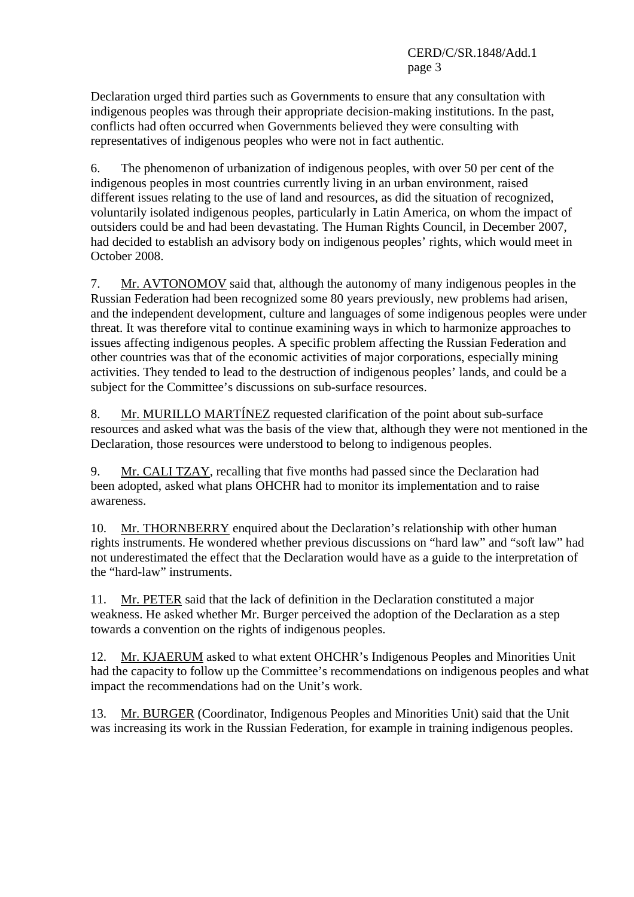Declaration urged third parties such as Governments to ensure that any consultation with indigenous peoples was through their appropriate decision-making institutions. In the past, conflicts had often occurred when Governments believed they were consulting with representatives of indigenous peoples who were not in fact authentic.

6. The phenomenon of urbanization of indigenous peoples, with over 50 per cent of the indigenous peoples in most countries currently living in an urban environment, raised different issues relating to the use of land and resources, as did the situation of recognized, voluntarily isolated indigenous peoples, particularly in Latin America, on whom the impact of outsiders could be and had been devastating. The Human Rights Council, in December 2007, had decided to establish an advisory body on indigenous peoples' rights, which would meet in October 2008.

7. Mr. AVTONOMOV said that, although the autonomy of many indigenous peoples in the Russian Federation had been recognized some 80 years previously, new problems had arisen, and the independent development, culture and languages of some indigenous peoples were under threat. It was therefore vital to continue examining ways in which to harmonize approaches to issues affecting indigenous peoples. A specific problem affecting the Russian Federation and other countries was that of the economic activities of major corporations, especially mining activities. They tended to lead to the destruction of indigenous peoples' lands, and could be a subject for the Committee's discussions on sub-surface resources.

8. Mr. MURILLO MARTÍNEZ requested clarification of the point about sub-surface resources and asked what was the basis of the view that, although they were not mentioned in the Declaration, those resources were understood to belong to indigenous peoples.

9. Mr. CALI TZAY, recalling that five months had passed since the Declaration had been adopted, asked what plans OHCHR had to monitor its implementation and to raise awareness.

10. Mr. THORNBERRY enquired about the Declaration's relationship with other human rights instruments. He wondered whether previous discussions on "hard law" and "soft law" had not underestimated the effect that the Declaration would have as a guide to the interpretation of the "hard-law" instruments.

11. Mr. PETER said that the lack of definition in the Declaration constituted a major weakness. He asked whether Mr. Burger perceived the adoption of the Declaration as a step towards a convention on the rights of indigenous peoples.

12. Mr. KJAERUM asked to what extent OHCHR's Indigenous Peoples and Minorities Unit had the capacity to follow up the Committee's recommendations on indigenous peoples and what impact the recommendations had on the Unit's work.

13. Mr. BURGER (Coordinator, Indigenous Peoples and Minorities Unit) said that the Unit was increasing its work in the Russian Federation, for example in training indigenous peoples.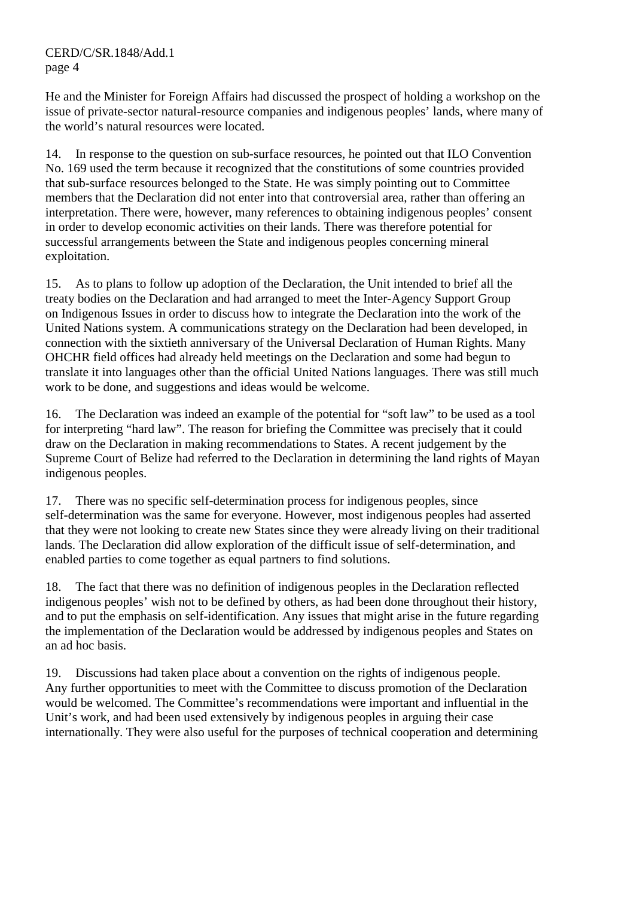CERD/C/SR.1848/Add.1 page 4

He and the Minister for Foreign Affairs had discussed the prospect of holding a workshop on the issue of private-sector natural-resource companies and indigenous peoples' lands, where many of the world's natural resources were located.

14. In response to the question on sub-surface resources, he pointed out that ILO Convention No. 169 used the term because it recognized that the constitutions of some countries provided that sub-surface resources belonged to the State. He was simply pointing out to Committee members that the Declaration did not enter into that controversial area, rather than offering an interpretation. There were, however, many references to obtaining indigenous peoples' consent in order to develop economic activities on their lands. There was therefore potential for successful arrangements between the State and indigenous peoples concerning mineral exploitation.

15. As to plans to follow up adoption of the Declaration, the Unit intended to brief all the treaty bodies on the Declaration and had arranged to meet the Inter-Agency Support Group on Indigenous Issues in order to discuss how to integrate the Declaration into the work of the United Nations system. A communications strategy on the Declaration had been developed, in connection with the sixtieth anniversary of the Universal Declaration of Human Rights. Many OHCHR field offices had already held meetings on the Declaration and some had begun to translate it into languages other than the official United Nations languages. There was still much work to be done, and suggestions and ideas would be welcome.

16. The Declaration was indeed an example of the potential for "soft law" to be used as a tool for interpreting "hard law". The reason for briefing the Committee was precisely that it could draw on the Declaration in making recommendations to States. A recent judgement by the Supreme Court of Belize had referred to the Declaration in determining the land rights of Mayan indigenous peoples.

17. There was no specific self-determination process for indigenous peoples, since self-determination was the same for everyone. However, most indigenous peoples had asserted that they were not looking to create new States since they were already living on their traditional lands. The Declaration did allow exploration of the difficult issue of self-determination, and enabled parties to come together as equal partners to find solutions.

18. The fact that there was no definition of indigenous peoples in the Declaration reflected indigenous peoples' wish not to be defined by others, as had been done throughout their history, and to put the emphasis on self-identification. Any issues that might arise in the future regarding the implementation of the Declaration would be addressed by indigenous peoples and States on an ad hoc basis.

19. Discussions had taken place about a convention on the rights of indigenous people. Any further opportunities to meet with the Committee to discuss promotion of the Declaration would be welcomed. The Committee's recommendations were important and influential in the Unit's work, and had been used extensively by indigenous peoples in arguing their case internationally. They were also useful for the purposes of technical cooperation and determining